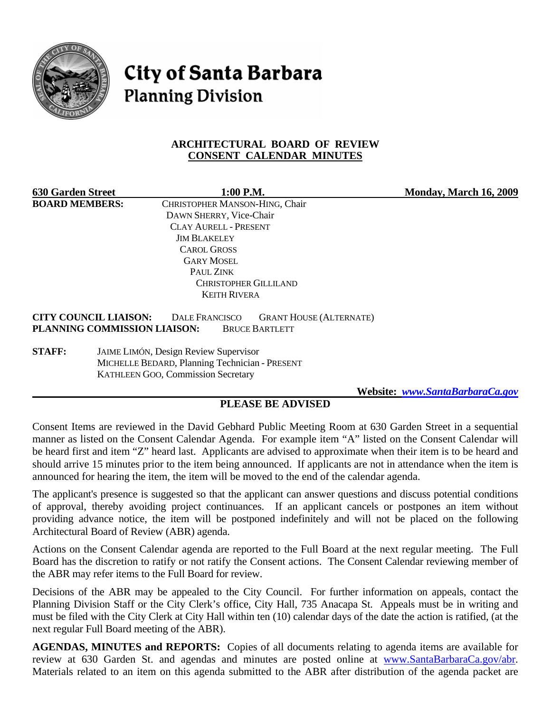

**City of Santa Barbara Planning Division** 

### **ARCHITECTURAL BOARD OF REVIEW CONSENT CALENDAR MINUTES**

| <b>630 Garden Street</b>                                     | 1:00 P.M.                                                                        | Monday, March 16, 2009 |
|--------------------------------------------------------------|----------------------------------------------------------------------------------|------------------------|
| <b>BOARD MEMBERS:</b>                                        | CHRISTOPHER MANSON-HING, Chair                                                   |                        |
|                                                              | DAWN SHERRY, Vice-Chair                                                          |                        |
|                                                              | <b>CLAY AURELL - PRESENT</b>                                                     |                        |
|                                                              | <b>JIM BLAKELEY</b>                                                              |                        |
|                                                              | <b>CAROL GROSS</b>                                                               |                        |
|                                                              | <b>GARY MOSEL</b>                                                                |                        |
|                                                              | PAUL ZINK                                                                        |                        |
|                                                              | <b>CHRISTOPHER GILLILAND</b>                                                     |                        |
|                                                              | <b>KEITH RIVERA</b>                                                              |                        |
| <b>CITY COUNCIL LIAISON:</b><br>PLANNING COMMISSION LIAISON: | <b>DALE FRANCISCO</b><br><b>GRANT HOUSE (ALTERNATE)</b><br><b>BRUCE BARTLETT</b> |                        |

**STAFF:** JAIME LIMÓN, Design Review Supervisor MICHELLE BEDARD, Planning Technician - PRESENT KATHLEEN GOO, Commission Secretary

 **Website:** *[www.SantaBarbaraCa.gov](http://www.santabarbaraca.gov/)*

## **PLEASE BE ADVISED**

Consent Items are reviewed in the David Gebhard Public Meeting Room at 630 Garden Street in a sequential manner as listed on the Consent Calendar Agenda. For example item "A" listed on the Consent Calendar will be heard first and item "Z" heard last. Applicants are advised to approximate when their item is to be heard and should arrive 15 minutes prior to the item being announced. If applicants are not in attendance when the item is announced for hearing the item, the item will be moved to the end of the calendar agenda.

The applicant's presence is suggested so that the applicant can answer questions and discuss potential conditions of approval, thereby avoiding project continuances. If an applicant cancels or postpones an item without providing advance notice, the item will be postponed indefinitely and will not be placed on the following Architectural Board of Review (ABR) agenda.

Actions on the Consent Calendar agenda are reported to the Full Board at the next regular meeting. The Full Board has the discretion to ratify or not ratify the Consent actions. The Consent Calendar reviewing member of the ABR may refer items to the Full Board for review.

Decisions of the ABR may be appealed to the City Council. For further information on appeals, contact the Planning Division Staff or the City Clerk's office, City Hall, 735 Anacapa St. Appeals must be in writing and must be filed with the City Clerk at City Hall within ten (10) calendar days of the date the action is ratified, (at the next regular Full Board meeting of the ABR).

**AGENDAS, MINUTES and REPORTS:** Copies of all documents relating to agenda items are available for review at 630 Garden St. and agendas and minutes are posted online at [www.SantaBarbaraCa.gov/abr.](http://www.santabarbaraca.gov/abr) Materials related to an item on this agenda submitted to the ABR after distribution of the agenda packet are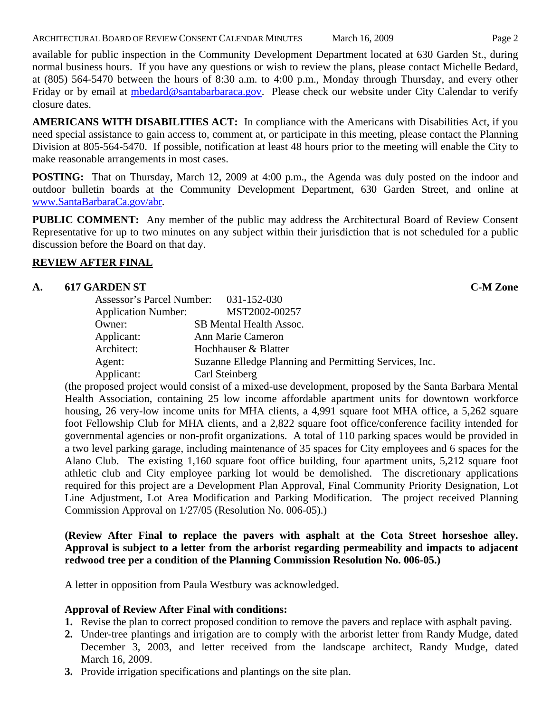available for public inspection in the Community Development Department located at 630 Garden St., during normal business hours. If you have any questions or wish to review the plans, please contact Michelle Bedard, at (805) 564-5470 between the hours of 8:30 a.m. to 4:00 p.m., Monday through Thursday, and every other Friday or by email at [mbedard@santabarbaraca.gov.](mailto:mbedard@santabarbaraca.gov) Please check our website under City Calendar to verify closure dates.

**AMERICANS WITH DISABILITIES ACT:** In compliance with the Americans with Disabilities Act, if you need special assistance to gain access to, comment at, or participate in this meeting, please contact the Planning Division at 805-564-5470. If possible, notification at least 48 hours prior to the meeting will enable the City to make reasonable arrangements in most cases.

**POSTING:** That on Thursday, March 12, 2009 at 4:00 p.m., the Agenda was duly posted on the indoor and outdoor bulletin boards at the Community Development Department, 630 Garden Street, and online at [www.SantaBarbaraCa.gov/abr](http://www.santabarbaraca.gov/abr).

**PUBLIC COMMENT:** Any member of the public may address the Architectural Board of Review Consent Representative for up to two minutes on any subject within their jurisdiction that is not scheduled for a public discussion before the Board on that day.

# **REVIEW AFTER FINAL**

# **A. 617 GARDEN ST C-M Zone**

| Assessor's Parcel Number: 031-152-030 |                                                        |
|---------------------------------------|--------------------------------------------------------|
| <b>Application Number:</b>            | MST2002-00257                                          |
| Owner:                                | SB Mental Health Assoc.                                |
| Applicant:                            | Ann Marie Cameron                                      |
| Architect:                            | Hochhauser & Blatter                                   |
| Agent:                                | Suzanne Elledge Planning and Permitting Services, Inc. |
| Applicant:                            | Carl Steinberg                                         |

(the proposed project would consist of a mixed-use development, proposed by the Santa Barbara Mental Health Association, containing 25 low income affordable apartment units for downtown workforce housing, 26 very-low income units for MHA clients, a 4,991 square foot MHA office, a 5,262 square foot Fellowship Club for MHA clients, and a 2,822 square foot office/conference facility intended for governmental agencies or non-profit organizations. A total of 110 parking spaces would be provided in a two level parking garage, including maintenance of 35 spaces for City employees and 6 spaces for the Alano Club. The existing 1,160 square foot office building, four apartment units, 5,212 square foot athletic club and City employee parking lot would be demolished. The discretionary applications required for this project are a Development Plan Approval, Final Community Priority Designation, Lot Line Adjustment, Lot Area Modification and Parking Modification. The project received Planning Commission Approval on 1/27/05 (Resolution No. 006-05).)

## **(Review After Final to replace the pavers with asphalt at the Cota Street horseshoe alley. Approval is subject to a letter from the arborist regarding permeability and impacts to adjacent redwood tree per a condition of the Planning Commission Resolution No. 006-05.)**

A letter in opposition from Paula Westbury was acknowledged.

## **Approval of Review After Final with conditions:**

- **1.** Revise the plan to correct proposed condition to remove the pavers and replace with asphalt paving.
- **2.** Under-tree plantings and irrigation are to comply with the arborist letter from Randy Mudge, dated December 3, 2003, and letter received from the landscape architect, Randy Mudge, dated March 16, 2009.
- **3.** Provide irrigation specifications and plantings on the site plan.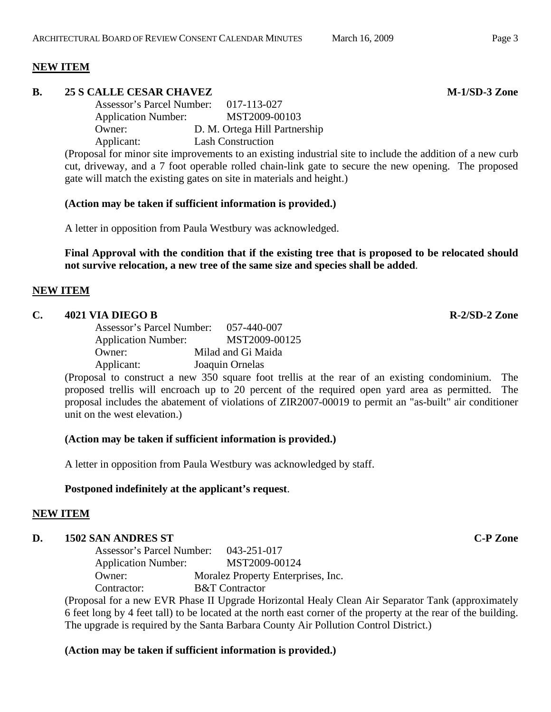### **NEW ITEM**

### **B.** 25 S CALLE CESAR CHAVEZ M-1/SD-3 Zone

Assessor's Parcel Number: 017-113-027 Application Number: MST2009-00103 Owner: D. M. Ortega Hill Partnership Applicant: Lash Construction

(Proposal for minor site improvements to an existing industrial site to include the addition of a new curb cut, driveway, and a 7 foot operable rolled chain-link gate to secure the new opening. The proposed gate will match the existing gates on site in materials and height.)

### **(Action may be taken if sufficient information is provided.)**

A letter in opposition from Paula Westbury was acknowledged.

**Final Approval with the condition that if the existing tree that is proposed to be relocated should not survive relocation, a new tree of the same size and species shall be added**.

### **NEW ITEM**

### **C. 4021 VIA DIEGO B R-2/SD-2 Zone**

Assessor's Parcel Number: 057-440-007 Application Number: MST2009-00125 Owner: Milad and Gi Maida Applicant: Joaquin Ornelas

(Proposal to construct a new 350 square foot trellis at the rear of an existing condominium. The proposed trellis will encroach up to 20 percent of the required open yard area as permitted. The proposal includes the abatement of violations of ZIR2007-00019 to permit an "as-built" air conditioner unit on the west elevation.)

#### **(Action may be taken if sufficient information is provided.)**

A letter in opposition from Paula Westbury was acknowledged by staff.

#### **Postponed indefinitely at the applicant's request**.

## **NEW ITEM**

## **D.** 1502 SAN ANDRES ST **C-P Zone**

Assessor's Parcel Number: 043-251-017 Application Number: MST2009-00124 Owner: Moralez Property Enterprises, Inc. Contractor: B&T Contractor

(Proposal for a new EVR Phase II Upgrade Horizontal Healy Clean Air Separator Tank (approximately 6 feet long by 4 feet tall) to be located at the north east corner of the property at the rear of the building. The upgrade is required by the Santa Barbara County Air Pollution Control District.)

# **(Action may be taken if sufficient information is provided.)**